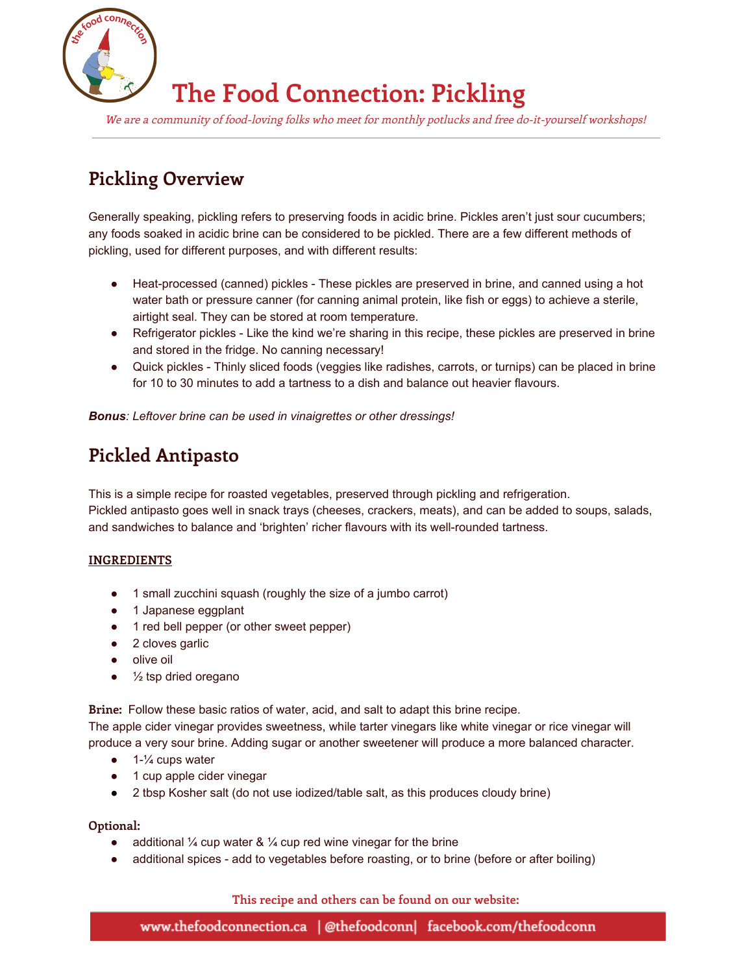

# **The Food Connection: Pickling**

We are <sup>a</sup> community of food-loving folks who meet for monthly potlucks and free do-it-yourself workshops!

## **Pickling Overview**

Generally speaking, pickling refers to preserving foods in acidic brine. Pickles aren't just sour cucumbers; any foods soaked in acidic brine can be considered to be pickled. There are a few different methods of pickling, used for different purposes, and with different results:

- Heat-processed (canned) pickles These pickles are preserved in brine, and canned using a hot water bath or pressure canner (for canning animal protein, like fish or eggs) to achieve a sterile, airtight seal. They can be stored at room temperature.
- Refrigerator pickles Like the kind we're sharing in this recipe, these pickles are preserved in brine and stored in the fridge. No canning necessary!
- Quick pickles Thinly sliced foods (veggies like radishes, carrots, or turnips) can be placed in brine for 10 to 30 minutes to add a tartness to a dish and balance out heavier flavours.

*Bonus: Leftover brine can be used in vinaigrettes or other dressings!*

## **Pickled Antipasto**

This is a simple recipe for roasted vegetables, preserved through pickling and refrigeration. Pickled antipasto goes well in snack trays (cheeses, crackers, meats), and can be added to soups, salads, and sandwiches to balance and 'brighten' richer flavours with its well-rounded tartness.

#### **INGREDIENTS**

- 1 small zucchini squash (roughly the size of a jumbo carrot)
- 1 Japanese eggplant
- 1 red bell pepper (or other sweet pepper)
- 2 cloves garlic
- olive oil
- $\bullet$   $\frac{1}{2}$  tsp dried oregano

**Brine:** Follow these basic ratios of water, acid, and salt to adapt this brine recipe.

The apple cider vinegar provides sweetness, while tarter vinegars like white vinegar or rice vinegar will produce a very sour brine. Adding sugar or another sweetener will produce a more balanced character.

- $\bullet$  1- $\frac{1}{4}$  cups water
- 1 cup apple cider vinegar
- 2 tbsp Kosher salt (do not use iodized/table salt, as this produces cloudy brine)

#### **Optional:**

- additional  $\frac{1}{4}$  cup water &  $\frac{1}{4}$  cup red wine vinegar for the brine
- additional spices add to vegetables before roasting, or to brine (before or after boiling)

**This recipe and others can be found on our website:**